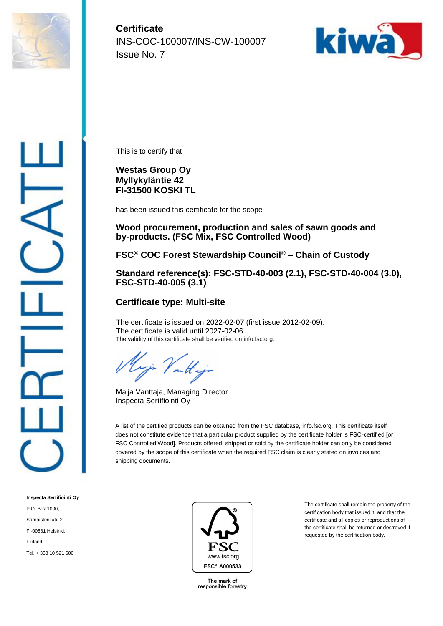

**Certificate** INS-COC-100007/INS-CW-100007 Issue No. 7



This is to certify that

## **Westas Group Oy Myllykyläntie 42 FI-31500 KOSKI TL**

has been issued this certificate for the scope

#### **Wood procurement, production and sales of sawn goods and by-products. (FSC Mix, FSC Controlled Wood)**

## **FSC® COC Forest Stewardship Council® – Chain of Custody**

#### **Standard reference(s): FSC-STD-40-003 (2.1), FSC-STD-40-004 (3.0), FSC-STD-40-005 (3.1)**

## **Certificate type: Multi-site**

The certificate is issued on 2022-02-07 (first issue 2012-02-09). The certificate is valid until 2027-02-06. The validity of this certificate shall be verified on info.fsc.org.

outt.

Maija Vanttaja, Managing Director Inspecta Sertifiointi Oy

A list of the certified products can be obtained from the FSC database, info.fsc.org. This certificate itself does not constitute evidence that a particular product supplied by the certificate holder is FSC-certified [or FSC Controlled Wood]. Products offered, shipped or sold by the certificate holder can only be considered covered by the scope of this certificate when the required FSC claim is clearly stated on invoices and shipping documents.

**Inspecta Sertifiointi Oy** P.O. Box 1000, Sörnäistenkatu 2 FI-00581 Helsinki, Finland Tel. + 358 10 521 600



The mark of responsible forestry

The certificate shall remain the property of the certification body that issued it, and that the certificate and all copies or reproductions of the certificate shall be returned or destroyed if requested by the certification body.